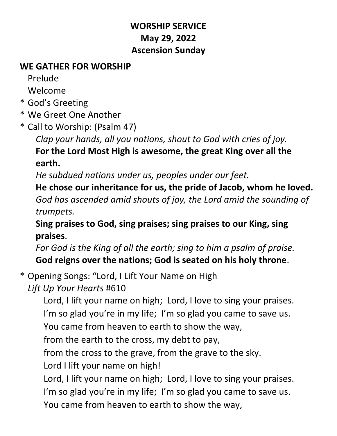### **WORSHIP SERVICE May 29, 2022 Ascension Sunday**

### **WE GATHER FOR WORSHIP**

Prelude

Welcome

- \* God's Greeting
- \* We Greet One Another
- \* Call to Worship: (Psalm 47)

*Clap your hands, all you nations, shout to God with cries of joy.* **For the Lord Most High is awesome, the great King over all the earth.**

*He subdued nations under us, peoples under our feet.*

**He chose our inheritance for us, the pride of Jacob, whom he loved.** *God has ascended amid shouts of joy, the Lord amid the sounding of trumpets.*

**Sing praises to God, sing praises; sing praises to our King, sing praises**.

*For God is the King of all the earth; sing to him a psalm of praise.* **God reigns over the nations; God is seated on his holy throne**.

\* Opening Songs: "Lord, I Lift Your Name on High

- *Lift Up Your Hearts* #610
	- Lord, I lift your name on high; Lord, I love to sing your praises.
	- I'm so glad you're in my life; I'm so glad you came to save us.
	- You came from heaven to earth to show the way,
	- from the earth to the cross, my debt to pay,
	- from the cross to the grave, from the grave to the sky.
	- Lord I lift your name on high!
	- Lord, I lift your name on high; Lord, I love to sing your praises.
	- I'm so glad you're in my life; I'm so glad you came to save us.
	- You came from heaven to earth to show the way,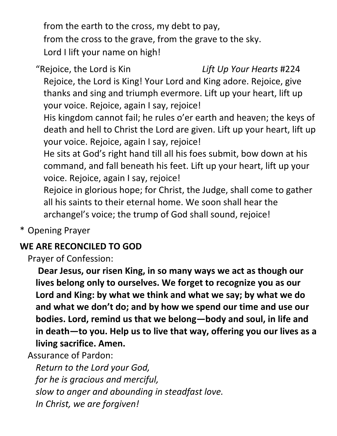from the earth to the cross, my debt to pay, from the cross to the grave, from the grave to the sky. Lord I lift your name on high!

"Rejoice, the Lord is Kin *Lift Up Your Hearts* #224 Rejoice, the Lord is King! Your Lord and King adore. Rejoice, give thanks and sing and triumph evermore. Lift up your heart, lift up your voice. Rejoice, again I say, rejoice!

His kingdom cannot fail; he rules o'er earth and heaven; the keys of death and hell to Christ the Lord are given. Lift up your heart, lift up your voice. Rejoice, again I say, rejoice!

He sits at God's right hand till all his foes submit, bow down at his command, and fall beneath his feet. Lift up your heart, lift up your voice. Rejoice, again I say, rejoice!

Rejoice in glorious hope; for Christ, the Judge, shall come to gather all his saints to their eternal home. We soon shall hear the archangel's voice; the trump of God shall sound, rejoice!

\* Opening Prayer

## **WE ARE RECONCILED TO GOD**

Prayer of Confession:

**Dear Jesus, our risen King, in so many ways we act as though our lives belong only to ourselves. We forget to recognize you as our Lord and King: by what we think and what we say; by what we do and what we don't do; and by how we spend our time and use our bodies. Lord, remind us that we belong—body and soul, in life and in death—to you. Help us to live that way, offering you our lives as a living sacrifice. Amen.**

Assurance of Pardon:

*Return to the Lord your God, for he is gracious and merciful, slow to anger and abounding in steadfast love. In Christ, we are forgiven!*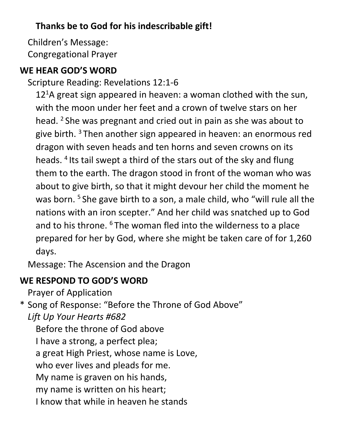## **Thanks be to God for his indescribable gift!**

Children's Message: Congregational Prayer

## **WE HEAR GOD'S WORD**

Scripture Reading: Revelations 12:1-6

12<sup>1</sup>A great sign appeared in heaven: a woman clothed with the sun, with the moon under her feet and a crown of twelve stars on her head.  $2$  She was pregnant and cried out in pain as she was about to give birth.  $3$  Then another sign appeared in heaven: an enormous red dragon with seven heads and ten horns and seven crowns on its heads. <sup>4</sup> Its tail swept a third of the stars out of the sky and flung them to the earth. The dragon stood in front of the woman who was about to give birth, so that it might devour her child the moment he was born.  $5$  She gave birth to a son, a male child, who "will rule all the nations with an iron scepter." And her child was snatched up to God and to his throne. <sup>6</sup> The woman fled into the wilderness to a place prepared for her by God, where she might be taken care of for 1,260 days.

Message: The Ascension and the Dragon

# **WE RESPOND TO GOD'S WORD**

Prayer of Application

\* Song of Response: "Before the Throne of God Above" *Lift Up Your Hearts #682* Before the throne of God above I have a strong, a perfect plea; a great High Priest, whose name is Love, who ever lives and pleads for me. My name is graven on his hands, my name is written on his heart; I know that while in heaven he stands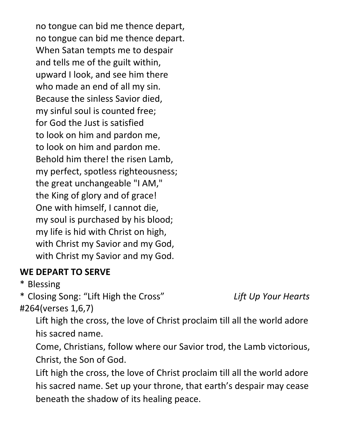no tongue can bid me thence depart, no tongue can bid me thence depart. When Satan tempts me to despair and tells me of the guilt within, upward I look, and see him there who made an end of all my sin. Because the sinless Savior died, my sinful soul is counted free; for God the Just is satisfied to look on him and pardon me, to look on him and pardon me. Behold him there! the risen Lamb, my perfect, spotless righteousness; the great unchangeable "I AM," the King of glory and of grace! One with himself, I cannot die, my soul is purchased by his blood; my life is hid with Christ on high, with Christ my Savior and my God, with Christ my Savior and my God.

#### **WE DEPART TO SERVE**

\* Blessing

\* Closing Song: "Lift High the Cross" *Lift Up Your Hearts* #264(verses 1,6,7)

Lift high the cross, the love of Christ proclaim till all the world adore his sacred name.

Come, Christians, follow where our Savior trod, the Lamb victorious, Christ, the Son of God.

Lift high the cross, the love of Christ proclaim till all the world adore his sacred name. Set up your throne, that earth's despair may cease beneath the shadow of its healing peace.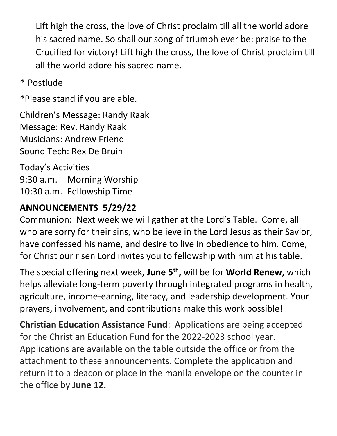Lift high the cross, the love of Christ proclaim till all the world adore his sacred name. So shall our song of triumph ever be: praise to the Crucified for victory! Lift high the cross, the love of Christ proclaim till all the world adore his sacred name.

\* Postlude

\*Please stand if you are able.

Children's Message: Randy Raak Message: Rev. Randy Raak Musicians: Andrew Friend Sound Tech: Rex De Bruin

Today's Activities 9:30 a.m. Morning Worship 10:30 a.m. Fellowship Time

### **ANNOUNCEMENTS 5/29/22**

Communion: Next week we will gather at the Lord's Table. Come, all who are sorry for their sins, who believe in the Lord Jesus as their Savior, have confessed his name, and desire to live in obedience to him. Come, for Christ our risen Lord invites you to fellowship with him at his table.

The special offering next week**, June 5th ,** will be for **World Renew,** which helps alleviate long-term poverty through integrated programs in health, agriculture, income-earning, literacy, and leadership development. Your prayers, involvement, and contributions make this work possible!

**Christian Education Assistance Fund**: Applications are being accepted for the Christian Education Fund for the 2022-2023 school year. Applications are available on the table outside the office or from the attachment to these announcements. Complete the application and return it to a deacon or place in the manila envelope on the counter in the office by **June 12.**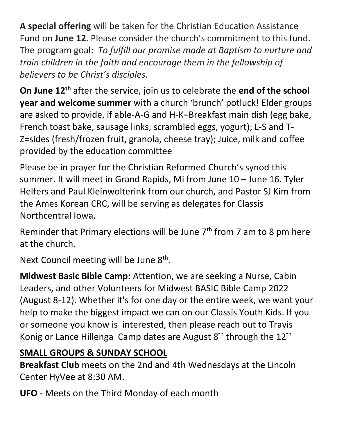**A special offering** will be taken for the Christian Education Assistance Fund on **June 12**. Please consider the church's commitment to this fund. The program goal: *To fulfill our promise made at Baptism to nurture and train children in the faith and encourage them in the fellowship of believers to be Christ's disciples.*

**On June 12th** after the service, join us to celebrate the **end of the school year and welcome summer** with a church 'brunch' potluck! Elder groups are asked to provide, if able-A-G and H-K=Breakfast main dish (egg bake, French toast bake, sausage links, scrambled eggs, yogurt); L-S and T-Z=sides (fresh/frozen fruit, granola, cheese tray); Juice, milk and coffee provided by the education committee

Please be in prayer for the Christian Reformed Church's synod this summer. It will meet in Grand Rapids, Mi from June 10 – June 16. Tyler Helfers and Paul Kleinwolterink from our church, and Pastor SJ Kim from the Ames Korean CRC, will be serving as delegates for Classis Northcentral Iowa.

Reminder that Primary elections will be June  $7<sup>th</sup>$  from 7 am to 8 pm here at the church.

Next Council meeting will be June 8<sup>th</sup>.

**Midwest Basic Bible Camp:** Attention, we are seeking a Nurse, Cabin Leaders, and other Volunteers for Midwest BASIC Bible Camp 2022 (August 8-12). Whether it's for one day or the entire week, we want your help to make the biggest impact we can on our Classis Youth Kids. If you or someone you know is interested, then please reach out to Travis Konig or Lance Hillenga Camp dates are August 8<sup>th</sup> through the 12<sup>th</sup>

### **SMALL GROUPS & SUNDAY SCHOOL**

**Breakfast Club** meets on the 2nd and 4th Wednesdays at the Lincoln Center HyVee at 8:30 AM.

**UFO** - Meets on the Third Monday of each month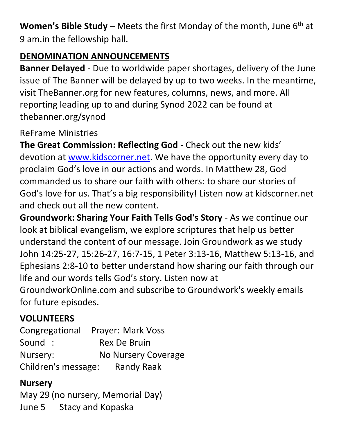**Women's Bible Study** – Meets the first Monday of the month, June 6<sup>th</sup> at 9 am.in the fellowship hall.

## **DENOMINATION ANNOUNCEMENTS**

**Banner Delayed** - Due to worldwide paper shortages, delivery of the June issue of The Banner will be delayed by up to two weeks. In the meantime, visit TheBanner.org for new features, columns, news, and more. All reporting leading up to and during Synod 2022 can be found at thebanner.org/synod

ReFrame Ministries

**The Great Commission: Reflecting God** - Check out the new kids' devotion at [www.kidscorner.net.](file:///C:/Users/offic/Dropbox/TCRC%20Documents/1Sundays/www.kidscorner.net) We have the opportunity every day to proclaim God's love in our actions and words. In Matthew 28, God commanded us to share our faith with others: to share our stories of God's love for us. That's a big responsibility! Listen now at kidscorner.net and check out all the new content.

**Groundwork: Sharing Your Faith Tells God's Story** - As we continue our look at biblical evangelism, we explore scriptures that help us better understand the content of our message. Join Groundwork as we study John 14:25-27, 15:26-27, 16:7-15, 1 Peter 3:13-16, Matthew 5:13-16, and Ephesians 2:8-10 to better understand how sharing our faith through our life and our words tells God's story. Listen now at GroundworkOnline.com and subscribe to Groundwork's weekly emails for future episodes.

# **VOLUNTEERS**

Congregational Prayer: Mark Voss Sound : Rex De Bruin Nursery: No Nursery Coverage Children's message: Randy Raak

# **Nursery**

May 29 (no nursery, Memorial Day) June 5 Stacy and Kopaska